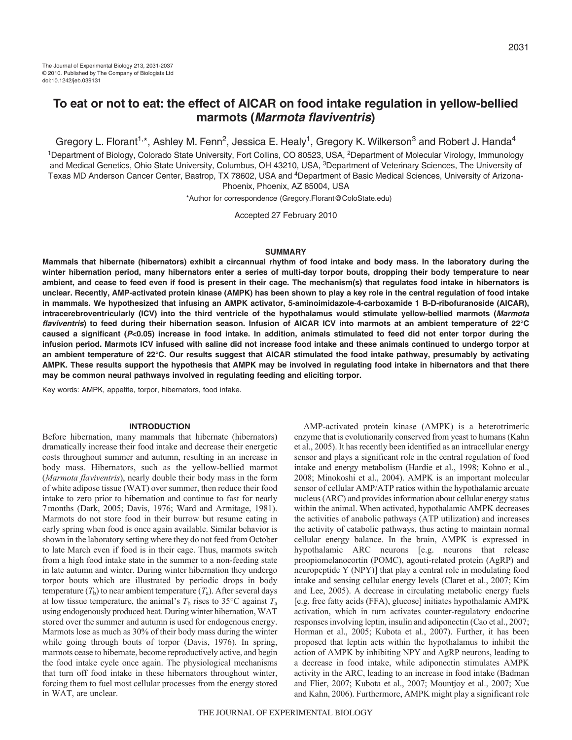# **To eat or not to eat: the effect of AICAR on food intake regulation in yellow-bellied marmots (Marmota flaviventris)**

Gregory L. Florant<sup>1,\*</sup>, Ashley M. Fenn<sup>2</sup>, Jessica E. Healy<sup>1</sup>, Gregory K. Wilkerson<sup>3</sup> and Robert J. Handa<sup>4</sup>

<sup>1</sup>Department of Biology, Colorado State University, Fort Collins, CO 80523, USA, <sup>2</sup>Department of Molecular Virology, Immunology and Medical Genetics, Ohio State University, Columbus, OH 43210, USA, <sup>3</sup>Department of Veterinary Sciences, The University of Texas MD Anderson Cancer Center, Bastrop, TX 78602, USA and <sup>4</sup>Department of Basic Medical Sciences, University of Arizona-Phoenix, Phoenix, AZ 85004, USA

\*Author for correspondence (Gregory.Florant@ColoState.edu)

Accepted 27 February 2010

## **SUMMARY**

**Mammals that hibernate (hibernators) exhibit a circannual rhythm of food intake and body mass. In the laboratory during the winter hibernation period, many hibernators enter a series of multi-day torpor bouts, dropping their body temperature to near ambient, and cease to feed even if food is present in their cage. The mechanism(s) that regulates food intake in hibernators is unclear. Recently, AMP-activated protein kinase (AMPK) has been shown to play a key role in the central regulation of food intake in mammals. We hypothesized that infusing an AMPK activator, 5-aminoimidazole-4-carboxamide 1 B-D-ribofuranoside (AICAR), intracerebroventricularly (ICV) into the third ventricle of the hypothalamus would stimulate yellow-bellied marmots (Marmota flaviventris) to feed during their hibernation season. Infusion of AICAR ICV into marmots at an ambient temperature of 22°C caused a significant (P<0.05) increase in food intake. In addition, animals stimulated to feed did not enter torpor during the infusion period. Marmots ICV infused with saline did not increase food intake and these animals continued to undergo torpor at an ambient temperature of 22°C. Our results suggest that AICAR stimulated the food intake pathway, presumably by activating AMPK. These results support the hypothesis that AMPK may be involved in regulating food intake in hibernators and that there may be common neural pathways involved in regulating feeding and eliciting torpor.**

Key words: AMPK, appetite, torpor, hibernators, food intake.

## **INTRODUCTION**

Before hibernation, many mammals that hibernate (hibernators) dramatically increase their food intake and decrease their energetic costs throughout summer and autumn, resulting in an increase in body mass. Hibernators, such as the yellow-bellied marmot (*Marmota flaviventris*), nearly double their body mass in the form of white adipose tissue (WAT) over summer, then reduce their food intake to zero prior to hibernation and continue to fast for nearly 7months (Dark, 2005; Davis, 1976; Ward and Armitage, 1981). Marmots do not store food in their burrow but resume eating in early spring when food is once again available. Similar behavior is shown in the laboratory setting where they do not feed from October to late March even if food is in their cage. Thus, marmots switch from a high food intake state in the summer to a non-feeding state in late autumn and winter. During winter hibernation they undergo torpor bouts which are illustrated by periodic drops in body temperature  $(T_b)$  to near ambient temperature  $(T_a)$ . After several days at low tissue temperature, the animal's  $T<sub>b</sub>$  rises to 35°C against  $T<sub>a</sub>$ using endogenously produced heat. During winter hibernation, WAT stored over the summer and autumn is used for endogenous energy. Marmots lose as much as 30% of their body mass during the winter while going through bouts of torpor (Davis, 1976). In spring, marmots cease to hibernate, become reproductively active, and begin the food intake cycle once again. The physiological mechanisms that turn off food intake in these hibernators throughout winter, forcing them to fuel most cellular processes from the energy stored in WAT, are unclear.

AMP-activated protein kinase (AMPK) is a heterotrimeric enzyme that is evolutionarily conserved from yeast to humans (Kahn et al., 2005). It has recently been identified as an intracellular energy sensor and plays a significant role in the central regulation of food intake and energy metabolism (Hardie et al., 1998; Kohno et al., 2008; Minokoshi et al., 2004). AMPK is an important molecular sensor of cellular AMP/ATP ratios within the hypothalamic arcuate nucleus (ARC) and provides information about cellular energy status within the animal. When activated, hypothalamic AMPK decreases the activities of anabolic pathways (ATP utilization) and increases the activity of catabolic pathways, thus acting to maintain normal cellular energy balance. In the brain, AMPK is expressed in hypothalamic ARC neurons [e.g. neurons that release proopiomelanocortin (POMC), agouti-related protein (AgRP) and neuropeptide Y (NPY)] that play a central role in modulating food intake and sensing cellular energy levels (Claret et al., 2007; Kim and Lee, 2005). A decrease in circulating metabolic energy fuels [e.g. free fatty acids (FFA), glucose] initiates hypothalamic AMPK activation, which in turn activates counter-regulatory endocrine responses involving leptin, insulin and adiponectin (Cao et al., 2007; Horman et al., 2005; Kubota et al., 2007). Further, it has been proposed that leptin acts within the hypothalamus to inhibit the action of AMPK by inhibiting NPY and AgRP neurons, leading to a decrease in food intake, while adiponectin stimulates AMPK activity in the ARC, leading to an increase in food intake (Badman and Flier, 2007; Kubota et al., 2007; Mountjoy et al., 2007; Xue and Kahn, 2006). Furthermore, AMPK might play a significant role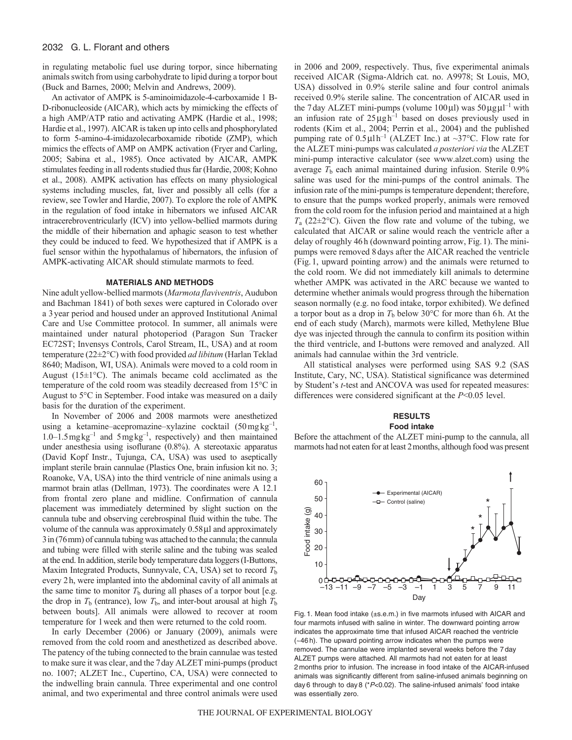## 2032 G. L. Florant and others

in regulating metabolic fuel use during torpor, since hibernating animals switch from using carbohydrate to lipid during a torpor bout (Buck and Barnes, 2000; Melvin and Andrews, 2009).

An activator of AMPK is 5-aminoimidazole-4-carboxamide 1 B-D-ribonucleoside (AICAR), which acts by mimicking the effects of a high AMP/ATP ratio and activating AMPK (Hardie et al., 1998; Hardie et al., 1997). AICAR is taken up into cells and phosphorylated to form 5-amino-4-imidazolecarboxamide ribotide (ZMP), which mimics the effects of AMP on AMPK activation (Fryer and Carling, 2005; Sabina et al., 1985). Once activated by AICAR, AMPK stimulates feeding in all rodents studied thus far (Hardie, 2008; Kohno et al., 2008). AMPK activation has effects on many physiological systems including muscles, fat, liver and possibly all cells (for a review, see Towler and Hardie, 2007). To explore the role of AMPK in the regulation of food intake in hibernators we infused AICAR intracerebroventricularly (ICV) into yellow-bellied marmots during the middle of their hibernation and aphagic season to test whether they could be induced to feed. We hypothesized that if AMPK is a fuel sensor within the hypothalamus of hibernators, the infusion of AMPK-activating AICAR should stimulate marmots to feed.

#### **MATERIALS AND METHODS**

Nine adult yellow-bellied marmots (*Marmota flaviventris*, Audubon and Bachman 1841) of both sexes were captured in Colorado over a 3year period and housed under an approved Institutional Animal Care and Use Committee protocol. In summer, all animals were maintained under natural photoperiod (Paragon Sun Tracker EC72ST; Invensys Controls, Carol Stream, IL, USA) and at room temperature (22±2°C) with food provided *ad libitum* (Harlan Teklad 8640; Madison, WI, USA). Animals were moved to a cold room in August  $(15\pm1\degree C)$ . The animals became cold acclimated as the temperature of the cold room was steadily decreased from 15°C in August to 5°C in September. Food intake was measured on a daily basis for the duration of the experiment.

In November of 2006 and 2008 marmots were anesthetized using a ketamine–acepromazine–xylazine cocktail  $(50 \text{ mg kg}^{-1})$ ,  $1.0-1.5$  mg kg<sup>-1</sup> and  $5$  mg kg<sup>-1</sup>, respectively) and then maintained under anesthesia using isoflurane (0.8%). A stereotaxic apparatus (David Kopf Instr., Tujunga, CA, USA) was used to aseptically implant sterile brain cannulae (Plastics One, brain infusion kit no. 3; Roanoke, VA, USA) into the third ventricle of nine animals using a marmot brain atlas (Dellman, 1973). The coordinates were A 12.1 from frontal zero plane and midline. Confirmation of cannula placement was immediately determined by slight suction on the cannula tube and observing cerebrospinal fluid within the tube. The volume of the cannula was approximately  $0.58 \mu$ l and approximately 3in (76mm) of cannula tubing was attached to the cannula; the cannula and tubing were filled with sterile saline and the tubing was sealed at the end. In addition, sterile body temperature data loggers (I-Buttons, Maxim Integrated Products, Sunnyvale, CA, USA) set to record *T*<sup>b</sup> every 2h, were implanted into the abdominal cavity of all animals at the same time to monitor  $T<sub>b</sub>$  during all phases of a torpor bout [e.g. the drop in  $T_b$  (entrance), low  $T_b$ , and inter-bout arousal at high  $T_b$ between bouts]. All animals were allowed to recover at room temperature for 1week and then were returned to the cold room.

In early December (2006) or January (2009), animals were removed from the cold room and anesthetized as described above. The patency of the tubing connected to the brain cannulae was tested to make sure it was clear, and the 7day ALZET mini-pumps (product no. 1007; ALZET Inc., Cupertino, CA, USA) were connected to the indwelling brain cannula. Three experimental and one control animal, and two experimental and three control animals were used

in 2006 and 2009, respectively. Thus, five experimental animals received AICAR (Sigma-Aldrich cat. no. A9978; St Louis, MO, USA) dissolved in 0.9% sterile saline and four control animals received 0.9% sterile saline. The concentration of AICAR used in the 7 day ALZET mini-pumps (volume  $100 \mu$ l) was  $50 \mu g \mu$ l<sup>-1</sup> with an infusion rate of  $25\mu g h^{-1}$  based on doses previously used in rodents (Kim et al., 2004; Perrin et al., 2004) and the published pumping rate of  $0.5 \mu h^{-1}$  (ALZET Inc.) at ~37°C. Flow rate for the ALZET mini-pumps was calculated *a posteriori via* the ALZET mini-pump interactive calculator (see www.alzet.com) using the average  $T<sub>b</sub>$  each animal maintained during infusion. Sterile  $0.9\%$ saline was used for the mini-pumps of the control animals. The infusion rate of the mini-pumps is temperature dependent; therefore, to ensure that the pumps worked properly, animals were removed from the cold room for the infusion period and maintained at a high  $T_a$  (22±2 $\degree$ C). Given the flow rate and volume of the tubing, we calculated that AICAR or saline would reach the ventricle after a delay of roughly 46h (downward pointing arrow, Fig.1). The minipumps were removed 8days after the AICAR reached the ventricle (Fig.1, upward pointing arrow) and the animals were returned to the cold room. We did not immediately kill animals to determine whether AMPK was activated in the ARC because we wanted to determine whether animals would progress through the hibernation season normally (e.g. no food intake, torpor exhibited). We defined a torpor bout as a drop in  $T<sub>b</sub>$  below 30 $\degree$ C for more than 6h. At the end of each study (March), marmots were killed, Methylene Blue dye was injected through the cannula to confirm its position within the third ventricle, and I-buttons were removed and analyzed. All animals had cannulae within the 3rd ventricle.

All statistical analyses were performed using SAS 9.2 (SAS Institute, Cary, NC, USA). Statistical significance was determined by Student's *t*-test and ANCOVA was used for repeated measures: differences were considered significant at the *P*<0.05 level.

#### **RESULTS Food intake**

Before the attachment of the ALZET mini-pump to the cannula, all marmots had not eaten for at least 2months, although food was present



Fig. 1. Mean food intake (±s.e.m.) in five marmots infused with AICAR and four marmots infused with saline in winter. The downward pointing arrow indicates the approximate time that infused AICAR reached the ventricle (~46 h). The upward pointing arrow indicates when the pumps were removed. The cannulae were implanted several weeks before the 7 day ALZET pumps were attached. All marmots had not eaten for at least 2 months prior to infusion. The increase in food intake of the AICAR-infused animals was significantly different from saline-infused animals beginning on day 6 through to day 8 (\*P<0.02). The saline-infused animals' food intake was essentially zero.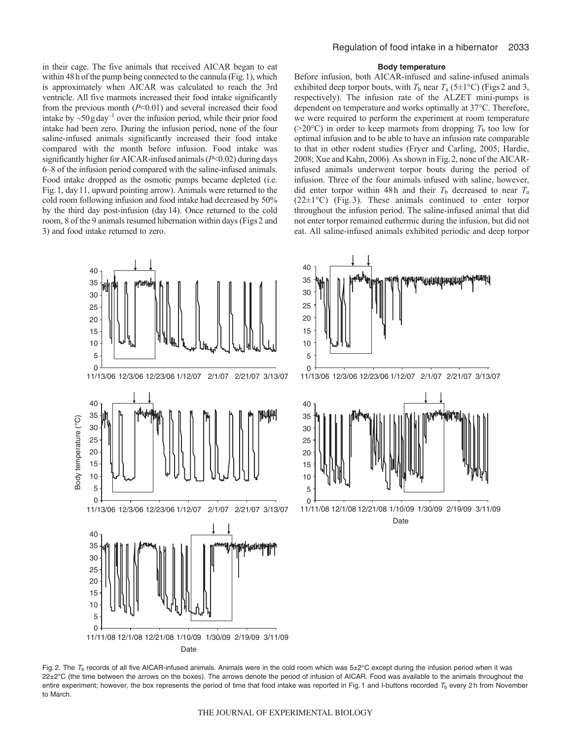in their cage. The five animals that received AICAR began to eat within 48h of the pump being connected to the cannula (Fig.1), which is approximately when AICAR was calculated to reach the 3rd ventricle. All five marmots increased their food intake significantly from the previous month (*P*<0.01) and several increased their food intake by  $\sim 50$  g day<sup>-1</sup> over the infusion period, while their prior food intake had been zero. During the infusion period, none of the four saline-infused animals significantly increased their food intake compared with the month before infusion. Food intake was significantly higher for AICAR-infused animals (*P*<0.02) during days 6–8 of the infusion period compared with the saline-infused animals. Food intake dropped as the osmotic pumps became depleted (i.e. Fig.1, day11, upward pointing arrow). Animals were returned to the cold room following infusion and food intake had decreased by 50% by the third day post-infusion (day14). Once returned to the cold room, 8 of the 9 animals resumed hibernation within days (Figs2 and 3) and food intake returned to zero.



( $>20^{\circ}$ C) in order to keep marmots from dropping  $T_b$  too low for optimal infusion and to be able to have an infusion rate comparable to that in other rodent studies (Fryer and Carling, 2005; Hardie, 2008; Xue and Kahn, 2006). As shown in Fig.2, none of the AICARinfused animals underwent torpor bouts during the period of infusion. Three of the four animals infused with saline, however, did enter torpor within 48h and their  $T<sub>b</sub>$  decreased to near  $T<sub>a</sub>$ (22±1°C) (Fig. 3). These animals continued to enter torpor throughout the infusion period. The saline-infused animal that did not enter torpor remained euthermic during the infusion, but did not eat. All saline-infused animals exhibited periodic and deep torpor



Fig. 2. The  $T<sub>b</sub>$  records of all five AICAR-infused animals. Animals were in the cold room which was  $5\pm2^{\circ}$ C except during the infusion period when it was 22±2<sup>o</sup>C (the time between the arrows on the boxes). The arrows denote the period of infusion of AICAR. Food was available to the animals throughout the entire experiment; however, the box represents the period of time that food intake was reported in Fig. 1 and I-buttons recorded  $T<sub>b</sub>$  every 2 h from November to March.

**Body temperature** Before infusion, both AICAR-infused and saline-infused animals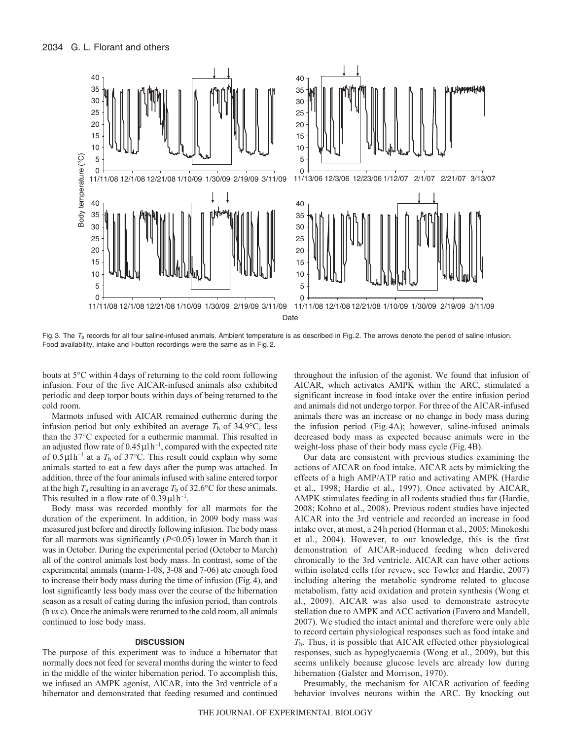

Fig. 3. The  $T<sub>b</sub>$  records for all four saline-infused animals. Ambient temperature is as described in Fig. 2. The arrows denote the period of saline infusion. Food availability, intake and I-button recordings were the same as in Fig. 2.

bouts at 5°C within 4days of returning to the cold room following infusion. Four of the five AICAR-infused animals also exhibited periodic and deep torpor bouts within days of being returned to the cold room.

Marmots infused with AICAR remained euthermic during the infusion period but only exhibited an average  $T<sub>b</sub>$  of 34.9°C, less than the 37°C expected for a euthermic mammal. This resulted in an adjusted flow rate of  $0.45 \mu l h^{-1}$ , compared with the expected rate of  $0.5 \mu$ lh<sup>-1</sup> at a  $T_b$  of 37°C. This result could explain why some animals started to eat a few days after the pump was attached. In addition, three of the four animals infused with saline entered torpor at the high  $T_a$  resulting in an average  $T_b$  of 32.6°C for these animals. This resulted in a flow rate of  $0.39 \mu$ lh<sup>-1</sup>.

Body mass was recorded monthly for all marmots for the duration of the experiment. In addition, in 2009 body mass was measured just before and directly following infusion. The body mass for all marmots was significantly (*P*<0.05) lower in March than it was in October. During the experimental period (October to March) all of the control animals lost body mass. In contrast, some of the experimental animals (marm-1-08, 3-08 and 7-06) ate enough food to increase their body mass during the time of infusion (Fig.4), and lost significantly less body mass over the course of the hibernation season as a result of eating during the infusion period, than controls (b *vs* c). Once the animals were returned to the cold room, all animals continued to lose body mass.

#### **DISCUSSION**

The purpose of this experiment was to induce a hibernator that normally does not feed for several months during the winter to feed in the middle of the winter hibernation period. To accomplish this, we infused an AMPK agonist, AICAR, into the 3rd ventricle of a hibernator and demonstrated that feeding resumed and continued throughout the infusion of the agonist. We found that infusion of AICAR, which activates AMPK within the ARC, stimulated a significant increase in food intake over the entire infusion period and animals did not undergo torpor. For three of the AICAR-infused animals there was an increase or no change in body mass during the infusion period (Fig.4A); however, saline-infused animals decreased body mass as expected because animals were in the weight-loss phase of their body mass cycle (Fig.4B).

Our data are consistent with previous studies examining the actions of AICAR on food intake. AICAR acts by mimicking the effects of a high AMP/ATP ratio and activating AMPK (Hardie et al., 1998; Hardie et al., 1997). Once activated by AICAR, AMPK stimulates feeding in all rodents studied thus far (Hardie, 2008; Kohno et al., 2008). Previous rodent studies have injected AICAR into the 3rd ventricle and recorded an increase in food intake over, at most, a 24h period (Horman et al., 2005; Minokoshi et al., 2004). However, to our knowledge, this is the first demonstration of AICAR-induced feeding when delivered chronically to the 3rd ventricle. AICAR can have other actions within isolated cells (for review, see Towler and Hardie, 2007) including altering the metabolic syndrome related to glucose metabolism, fatty acid oxidation and protein synthesis (Wong et al., 2009). AICAR was also used to demonstrate astrocyte stellation due to AMPK and ACC activation (Favero and Mandell, 2007). We studied the intact animal and therefore were only able to record certain physiological responses such as food intake and *T*b. Thus, it is possible that AICAR effected other physiological responses, such as hypoglycaemia (Wong et al., 2009), but this seems unlikely because glucose levels are already low during hibernation (Galster and Morrison, 1970).

Presumably, the mechanism for AICAR activation of feeding behavior involves neurons within the ARC. By knocking out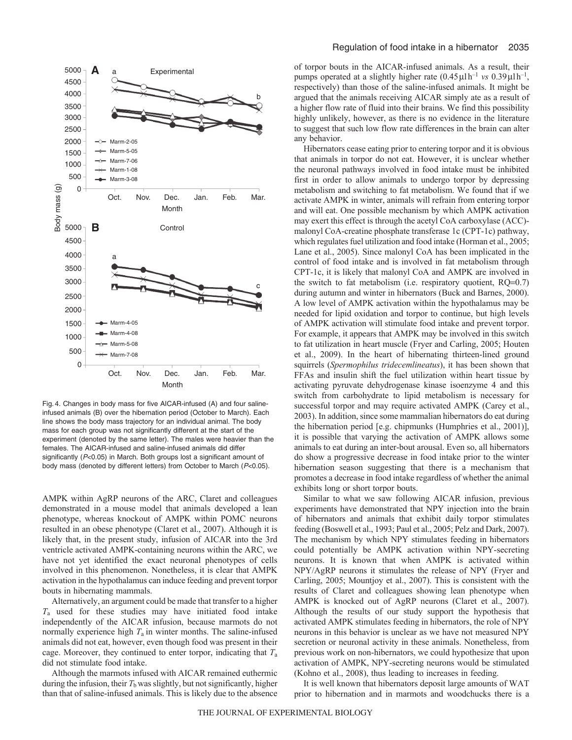

Fig. 4. Changes in body mass for five AICAR-infused (A) and four salineinfused animals (B) over the hibernation period (October to March). Each line shows the body mass trajectory for an individual animal. The body mass for each group was not significantly different at the start of the experiment (denoted by the same letter). The males were heavier than the females. The AICAR-infused and saline-infused animals did differ significantly (P<0.05) in March. Both groups lost a significant amount of body mass (denoted by different letters) from October to March (P<0.05).

AMPK within AgRP neurons of the ARC, Claret and colleagues demonstrated in a mouse model that animals developed a lean phenotype, whereas knockout of AMPK within POMC neurons resulted in an obese phenotype (Claret et al., 2007). Although it is likely that, in the present study, infusion of AICAR into the 3rd ventricle activated AMPK-containing neurons within the ARC, we have not yet identified the exact neuronal phenotypes of cells involved in this phenomenon. Nonetheless, it is clear that AMPK activation in the hypothalamus can induce feeding and prevent torpor bouts in hibernating mammals.

Alternatively, an argument could be made that transfer to a higher *T*<sup>a</sup> used for these studies may have initiated food intake independently of the AICAR infusion, because marmots do not normally experience high *T*a in winter months. The saline-infused animals did not eat, however, even though food was present in their cage. Moreover, they continued to enter torpor, indicating that *T*<sup>a</sup> did not stimulate food intake.

Although the marmots infused with AICAR remained euthermic during the infusion, their  $T<sub>b</sub>$  was slightly, but not significantly, higher than that of saline-infused animals. This is likely due to the absence of torpor bouts in the AICAR-infused animals. As a result, their pumps operated at a slightly higher rate  $(0.45 \mu l \text{ h}^{-1} \text{ vs } 0.39 \mu l \text{ h}^{-1})$ , respectively) than those of the saline-infused animals. It might be argued that the animals receiving AICAR simply ate as a result of a higher flow rate of fluid into their brains. We find this possibility highly unlikely, however, as there is no evidence in the literature to suggest that such low flow rate differences in the brain can alter any behavior.

Hibernators cease eating prior to entering torpor and it is obvious that animals in torpor do not eat. However, it is unclear whether the neuronal pathways involved in food intake must be inhibited first in order to allow animals to undergo torpor by depressing metabolism and switching to fat metabolism. We found that if we activate AMPK in winter, animals will refrain from entering torpor and will eat. One possible mechanism by which AMPK activation may exert this effect is through the acetyl CoA carboxylase (ACC) malonyl CoA-creatine phosphate transferase 1c (CPT-1c) pathway, which regulates fuel utilization and food intake (Horman et al., 2005; Lane et al., 2005). Since malonyl CoA has been implicated in the control of food intake and is involved in fat metabolism through CPT-1c, it is likely that malonyl CoA and AMPK are involved in the switch to fat metabolism (i.e. respiratory quotient,  $RQ=0.7$ ) during autumn and winter in hibernators (Buck and Barnes, 2000). A low level of AMPK activation within the hypothalamus may be needed for lipid oxidation and torpor to continue, but high levels of AMPK activation will stimulate food intake and prevent torpor. For example, it appears that AMPK may be involved in this switch to fat utilization in heart muscle (Fryer and Carling, 2005; Houten et al., 2009). In the heart of hibernating thirteen-lined ground squirrels (*Spermophilus tridecemlineatus*), it has been shown that FFAs and insulin shift the fuel utilization within heart tissue by activating pyruvate dehydrogenase kinase isoenzyme 4 and this switch from carbohydrate to lipid metabolism is necessary for successful torpor and may require activated AMPK (Carey et al., 2003). In addition, since some mammalian hibernators do eat during the hibernation period [e.g. chipmunks (Humphries et al., 2001)], it is possible that varying the activation of AMPK allows some animals to eat during an inter-bout arousal. Even so, all hibernators do show a progressive decrease in food intake prior to the winter hibernation season suggesting that there is a mechanism that promotes a decrease in food intake regardless of whether the animal exhibits long or short torpor bouts.

Similar to what we saw following AICAR infusion, previous experiments have demonstrated that NPY injection into the brain of hibernators and animals that exhibit daily torpor stimulates feeding (Boswell et al., 1993; Paul et al., 2005; Pelz and Dark, 2007). The mechanism by which NPY stimulates feeding in hibernators could potentially be AMPK activation within NPY-secreting neurons. It is known that when AMPK is activated within NPY/AgRP neurons it stimulates the release of NPY (Fryer and Carling, 2005; Mountjoy et al., 2007). This is consistent with the results of Claret and colleagues showing lean phenotype when AMPK is knocked out of AgRP neurons (Claret et al., 2007). Although the results of our study support the hypothesis that activated AMPK stimulates feeding in hibernators, the role of NPY neurons in this behavior is unclear as we have not measured NPY secretion or neuronal activity in these animals. Nonetheless, from previous work on non-hibernators, we could hypothesize that upon activation of AMPK, NPY-secreting neurons would be stimulated (Kohno et al., 2008), thus leading to increases in feeding.

It is well known that hibernators deposit large amounts of WAT prior to hibernation and in marmots and woodchucks there is a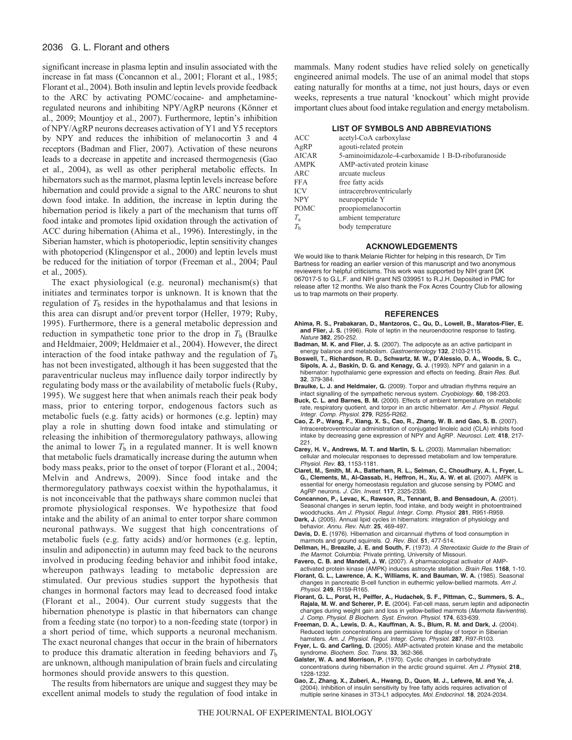## 2036 G. L. Florant and others

significant increase in plasma leptin and insulin associated with the increase in fat mass (Concannon et al., 2001; Florant et al., 1985; Florant et al., 2004). Both insulin and leptin levels provide feedback to the ARC by activating POMC/cocaine- and amphetamineregulated neurons and inhibiting NPY/AgRP neurons (Könner et al., 2009; Mountjoy et al., 2007). Furthermore, leptin's inhibition of NPY/AgRP neurons decreases activation of Y1 and Y5 receptors by NPY and reduces the inhibition of melanocortin 3 and 4 receptors (Badman and Flier, 2007). Activation of these neurons leads to a decrease in appetite and increased thermogenesis (Gao et al., 2004), as well as other peripheral metabolic effects. In hibernators such as the marmot, plasma leptin levels increase before hibernation and could provide a signal to the ARC neurons to shut down food intake. In addition, the increase in leptin during the hibernation period is likely a part of the mechanism that turns off food intake and promotes lipid oxidation through the activation of ACC during hibernation (Ahima et al., 1996). Interestingly, in the Siberian hamster, which is photoperiodic, leptin sensitivity changes with photoperiod (Klingenspor et al., 2000) and leptin levels must be reduced for the initiation of torpor (Freeman et al., 2004; Paul et al., 2005).

The exact physiological (e.g. neuronal) mechanism(s) that initiates and terminates torpor is unknown. It is known that the regulation of  $T<sub>b</sub>$  resides in the hypothalamus and that lesions in this area can disrupt and/or prevent torpor (Heller, 1979; Ruby, 1995). Furthermore, there is a general metabolic depression and reduction in sympathetic tone prior to the drop in  $T_b$  (Braulke and Heldmaier, 2009; Heldmaier et al., 2004). However, the direct interaction of the food intake pathway and the regulation of  $T<sub>b</sub>$ has not been investigated, although it has been suggested that the paraventricular nucleus may influence daily torpor indirectly by regulating body mass or the availability of metabolic fuels (Ruby, 1995). We suggest here that when animals reach their peak body mass, prior to entering torpor, endogenous factors such as metabolic fuels (e.g. fatty acids) or hormones (e.g. leptin) may play a role in shutting down food intake and stimulating or releasing the inhibition of thermoregulatory pathways, allowing the animal to lower  $T<sub>b</sub>$  in a regulated manner. It is well known that metabolic fuels dramatically increase during the autumn when body mass peaks, prior to the onset of torpor (Florant et al., 2004; Melvin and Andrews, 2009). Since food intake and the thermoregulatory pathways coexist within the hypothalamus, it is not inconceivable that the pathways share common nuclei that promote physiological responses. We hypothesize that food intake and the ability of an animal to enter torpor share common neuronal pathways. We suggest that high concentrations of metabolic fuels (e.g. fatty acids) and/or hormones (e.g. leptin, insulin and adiponectin) in autumn may feed back to the neurons involved in producing feeding behavior and inhibit food intake, whereupon pathways leading to metabolic depression are stimulated. Our previous studies support the hypothesis that changes in hormonal factors may lead to decreased food intake (Florant et al., 2004). Our current study suggests that the hibernation phenotype is plastic in that hibernators can change from a feeding state (no torpor) to a non-feeding state (torpor) in a short period of time, which supports a neuronal mechanism. The exact neuronal changes that occur in the brain of hibernators to produce this dramatic alteration in feeding behaviors and *T*<sup>b</sup> are unknown, although manipulation of brain fuels and circulating hormones should provide answers to this question.

The results from hibernators are unique and suggest they may be excellent animal models to study the regulation of food intake in mammals. Many rodent studies have relied solely on genetically engineered animal models. The use of an animal model that stops eating naturally for months at a time, not just hours, days or even weeks, represents a true natural 'knockout' which might provide important clues about food intake regulation and energy metabolism.

#### **LIST OF SYMBOLS AND ABBREVIATIONS**

| <b>ACC</b>     | acetyl-CoA carboxylase                              |
|----------------|-----------------------------------------------------|
| AgRP           | agouti-related protein                              |
| <b>AICAR</b>   | 5-aminoimidazole-4-carboxamide 1 B-D-ribofuranoside |
| <b>AMPK</b>    | AMP-activated protein kinase                        |
| <b>ARC</b>     | arcuate nucleus                                     |
| <b>FFA</b>     | free fatty acids                                    |
| <b>ICV</b>     | intracerebroventricularly                           |
| <b>NPY</b>     | neuropeptide Y                                      |
| <b>POMC</b>    | proopiomelanocortin                                 |
| $T_{\rm a}$    | ambient temperature                                 |
| T <sub>b</sub> | body temperature                                    |
|                |                                                     |

#### **ACKNOWLEDGEMENTS**

We would like to thank Melanie Richter for helping in this research, Dr Tim Bartness for reading an earlier version of this manuscript and two anonymous reviewers for helpful criticisms. This work was supported by NIH grant DK 067017-5 to G.L.F. and NIH grant NS 039951 to R.J.H. Deposited in PMC for release after 12 months. We also thank the Fox Acres Country Club for allowing us to trap marmots on their property.

#### **REFERENCES**

- **Ahima, R. S., Prabakaran, D., Mantzoros, C., Qu, D., Lowell, B., Maratos-Flier, E. and Flier, J. S.** (1996). Role of leptin in the neuroendocrine response to fasting. Nature **382**, 250-252.
- **Badman, M. K. and Flier, J. S.** (2007). The adipocyte as an active participant in
- energy balance and metabolism. Gastroenterology **132**, 2103-2115. **Boswell, T., Richardson, R. D., Schwartz, M. W., D'Alessio, D. A., Woods, S. C., Sipols, A. J., Baskin, D. G. and Kenagy, G. J.** (1993). NPY and galanin in a hibernator: hypothalamic gene expression and effects on feeding. Brain Res. Bull **32**, 379-384.
- **Braulke, L. J. and Heldmaier, G.** (2009). Torpor and ultradian rhythms require an intact signalling of the sympathetic nervous system. Cryobiology. **60**, 198-203.
- **Buck, C. L. and Barnes, B. M.** (2000). Effects of ambient temperature on metabolic rate, respiratory quotient, and torpor in an arctic hibernator. Am J. Physiol. Regul. Integr. Comp. Physiol. **279**, R255-R262.
- **Cao, Z. P., Wang, F., Xiang, X. S., Cao, R., Zhang, W. B. and Gao, S. B.** (2007). Intracerebroventricular administration of conjugated linoleic acid (CLA) inhibits food intake by decreasing gene expression of NPY and AgRP. Neurosci. Lett. **418**, 217- 221.
- **Carey, H. V., Andrews, M. T. and Martin, S. L.** (2003). Mammalian hibernation: cellular and molecular responses to depressed metabolism and low temperature. Physiol. Rev. **83**, 1153-1181.
- **Claret, M., Smith, M. A., Batterham, R. L., Selman, C., Choudhury, A. I., Fryer, L. G., Clements, M., Al-Qassab, H., Heffron, H., Xu, A. W. et al.** (2007). AMPK is essential for energy homeostasis regulation and glucose sensing by POMC and AgRP neurons. J. Clin. Invest. **117**, 2325-2336.
- **Concannon, P., Levac, K., Rawson, R., Tennant, B. and Bensadoun, A.** (2001). Seasonal changes in serum leptin, food intake, and body weight in photoentrained woodchucks. Am J. Physiol. Regul. Integr. Comp. Physiol. **281**, R951-R959.
- **Dark, J.** (2005). Annual lipid cycles in hibernators: integration of physiology and behavior. Annu. Rev. Nutr. **25**, 469-497.
- **Davis, D. E.** (1976). Hibernation and circannual rhythms of food consumption in marmots and ground squirrels. Q. Rev. Biol. **51**, 477-514.
- **Dellman, H., Breazile, J. E. and South, F.** (1973). A Stereotaxic Guide to the Brain of the Marmot. Columbia: Private printing, University of Missouri.
- **Favero, C. B. and Mandell, J. W.** (2007). A pharmacological activator of AMPactivated protein kinase (AMPK) induces astrocyte stellation. Brain Res. **1168**, 1-10.
- **Florant, G. L., Lawrence, A. K., Williams, K. and Bauman, W. A.** (1985). Seasonal changes in pancreatic B-cell function in euthermic yellow-bellied marmots. Am J. Physiol. **249**, R159-R165.
- **Florant, G. L., Porst, H., Peiffer, A., Hudachek, S. F., Pittman, C., Summers, S. A., Rajala, M. W. and Scherer, P. E.** (2004). Fat-cell mass, serum leptin and adiponectin changes during weight gain and loss in yellow-bellied marmots (Marmota flaviventris). J. Comp. Physiol. B Biochem. Syst. Environ. Physiol. **174**, 633-639.
- **Freeman, D. A., Lewis, D. A., Kauffman, A. S., Blum, R. M. and Dark, J.** (2004). Reduced leptin concentrations are permissive for display of torpor in Siberian hamsters. Am. J. Physiol. Regul. Integr. Comp. Physiol. **287**, R97-R103.
- **Fryer, L. G. and Carling, D.** (2005). AMP-activated protein kinase and the metabolic syndrome. Biochem. Soc. Trans. **33**, 362-366.
- **Galster, W. A. and Morrison, P.** (1970). Cyclic changes in carbohydrate concentrations during hibernation in the arctic ground squirrel. Am J. Physiol. **218**, 1228-1232.
- **Gao, Z., Zhang, X., Zuberi, A., Hwang, D., Quon, M. J., Lefevre, M. and Ye, J.** (2004). Inhibition of insulin sensitivity by free fatty acids requires activation of multiple serine kinases in 3T3-L1 adipocytes. Mol. Endocrinol. **18**, 2024-2034.